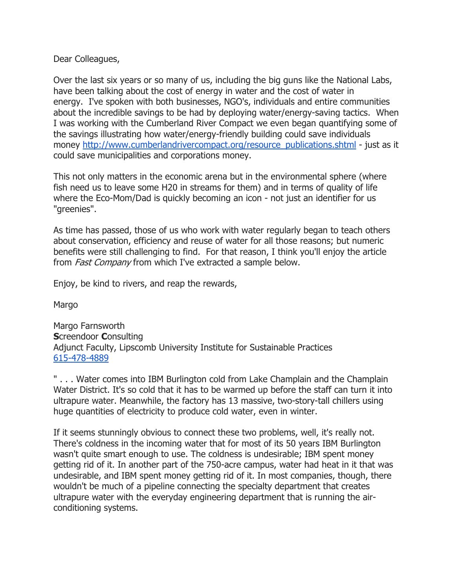## Dear Colleagues,

Over the last six years or so many of us, including the big guns like the National Labs, have been talking about the cost of energy in water and the cost of water in energy. I've spoken with both businesses, NGO's, individuals and entire communities about the incredible savings to be had by deploying water/energy-saving tactics. When I was working with the Cumberland River Compact we even began quantifying some of the savings illustrating how water/energy-friendly building could save individuals money http://www.cumberlandrivercompact.org/resource\_publications.shtml - just as it could save municipalities and corporations money.

This not only matters in the economic arena but in the environmental sphere (where fish need us to leave some H20 in streams for them) and in terms of quality of life where the Eco-Mom/Dad is quickly becoming an icon - not just an identifier for us "greenies".

As time has passed, those of us who work with water regularly began to teach others about conservation, efficiency and reuse of water for all those reasons; but numeric benefits were still challenging to find. For that reason, I think you'll enjoy the article from *Fast Company* from which I've extracted a sample below.

Enjoy, be kind to rivers, and reap the rewards,

Margo

Margo Farnsworth Screendoor Consulting Adjunct Faculty, Lipscomb University Institute for Sustainable Practices 615-478-4889

" . . . Water comes into IBM Burlington cold from Lake Champlain and the Champlain Water District. It's so cold that it has to be warmed up before the staff can turn it into ultrapure water. Meanwhile, the factory has 13 massive, two-story-tall chillers using huge quantities of electricity to produce cold water, even in winter.

If it seems stunningly obvious to connect these two problems, well, it's really not. There's coldness in the incoming water that for most of its 50 years IBM Burlington wasn't quite smart enough to use. The coldness is undesirable; IBM spent money getting rid of it. In another part of the 750-acre campus, water had heat in it that was undesirable, and IBM spent money getting rid of it. In most companies, though, there wouldn't be much of a pipeline connecting the specialty department that creates ultrapure water with the everyday engineering department that is running the airconditioning systems.